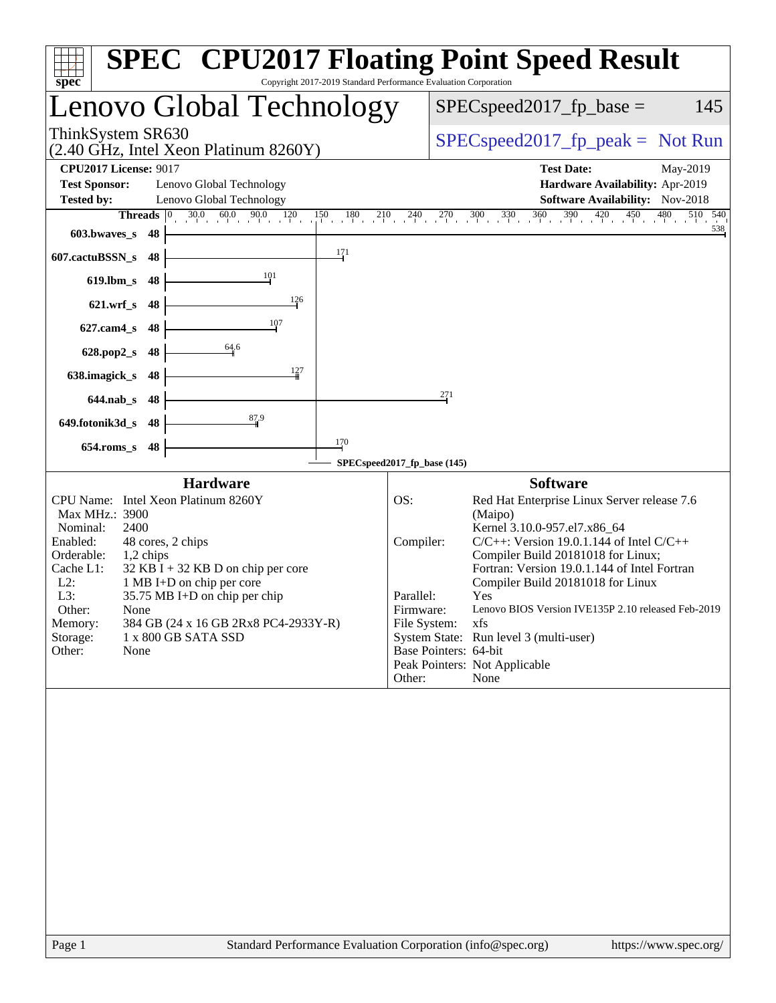| Copyright 2017-2019 Standard Performance Evaluation Corporation<br>spec                                                                                                                                                                                                                                                                                                                             | <b>SPEC<sup>®</sup> CPU2017 Floating Point Speed Result</b>                                                                                                                                                                                                                                                                                                                                                                                                                                                                |
|-----------------------------------------------------------------------------------------------------------------------------------------------------------------------------------------------------------------------------------------------------------------------------------------------------------------------------------------------------------------------------------------------------|----------------------------------------------------------------------------------------------------------------------------------------------------------------------------------------------------------------------------------------------------------------------------------------------------------------------------------------------------------------------------------------------------------------------------------------------------------------------------------------------------------------------------|
| Lenovo Global Technology                                                                                                                                                                                                                                                                                                                                                                            | $SPEC speed2017_fp\_base =$<br>145                                                                                                                                                                                                                                                                                                                                                                                                                                                                                         |
| ThinkSystem SR630<br>(2.40 GHz, Intel Xeon Platinum 8260Y)                                                                                                                                                                                                                                                                                                                                          | $SPEC speed2017fp peak = Not Run$                                                                                                                                                                                                                                                                                                                                                                                                                                                                                          |
| <b>CPU2017 License: 9017</b><br><b>Test Sponsor:</b><br>Lenovo Global Technology<br>Lenovo Global Technology<br><b>Tested by:</b>                                                                                                                                                                                                                                                                   | <b>Test Date:</b><br>May-2019<br>Hardware Availability: Apr-2019<br><b>Software Availability:</b> Nov-2018                                                                                                                                                                                                                                                                                                                                                                                                                 |
| 90.0<br>$30.0 \t 60.0$<br>Threads <sup>0</sup><br>603.bwaves_s<br>48                                                                                                                                                                                                                                                                                                                                | $\frac{120}{1} \quad \frac{150}{1} \quad \frac{180}{1} \quad \frac{210}{1} \quad \frac{240}{1} \quad \frac{270}{1} \quad \frac{300}{1} \quad \frac{330}{1} \quad \frac{360}{1} \quad \frac{390}{1} \quad \frac{420}{1} \quad \frac{450}{1} \quad \frac{480}{1}$<br>510 540<br>538                                                                                                                                                                                                                                          |
| 171<br>607.cactuBSSN_s<br>48                                                                                                                                                                                                                                                                                                                                                                        |                                                                                                                                                                                                                                                                                                                                                                                                                                                                                                                            |
| 101<br>$619$ .lbm_s<br>48                                                                                                                                                                                                                                                                                                                                                                           |                                                                                                                                                                                                                                                                                                                                                                                                                                                                                                                            |
| 126<br>$621.wrf$ <sub>S</sub><br>48                                                                                                                                                                                                                                                                                                                                                                 |                                                                                                                                                                                                                                                                                                                                                                                                                                                                                                                            |
| 107<br>627.cam4_s<br>48                                                                                                                                                                                                                                                                                                                                                                             |                                                                                                                                                                                                                                                                                                                                                                                                                                                                                                                            |
| 64.6<br>628.pop2_s<br>48                                                                                                                                                                                                                                                                                                                                                                            |                                                                                                                                                                                                                                                                                                                                                                                                                                                                                                                            |
| 127<br>638.imagick_s<br>48                                                                                                                                                                                                                                                                                                                                                                          |                                                                                                                                                                                                                                                                                                                                                                                                                                                                                                                            |
| $644$ .nab s<br>48                                                                                                                                                                                                                                                                                                                                                                                  | 271                                                                                                                                                                                                                                                                                                                                                                                                                                                                                                                        |
| 87.9<br>649.fotonik3d_s<br>48                                                                                                                                                                                                                                                                                                                                                                       |                                                                                                                                                                                                                                                                                                                                                                                                                                                                                                                            |
| 170<br>$654$ .roms_s<br>48                                                                                                                                                                                                                                                                                                                                                                          | SPECspeed2017_fp_base (145)                                                                                                                                                                                                                                                                                                                                                                                                                                                                                                |
| <b>Hardware</b>                                                                                                                                                                                                                                                                                                                                                                                     | <b>Software</b>                                                                                                                                                                                                                                                                                                                                                                                                                                                                                                            |
| CPU Name: Intel Xeon Platinum 8260Y<br>Max MHz.: 3900<br>Nominal:<br>2400<br>Enabled:<br>48 cores, 2 chips<br>Orderable:<br>1,2 chips<br>$32$ KB I + 32 KB D on chip per core<br>Cache L1:<br>$L2$ :<br>1 MB I+D on chip per core<br>L3:<br>35.75 MB I+D on chip per chip<br>Other:<br>None<br>384 GB (24 x 16 GB 2Rx8 PC4-2933Y-R)<br>Memory:<br>Storage:<br>1 x 800 GB SATA SSD<br>Other:<br>None | Red Hat Enterprise Linux Server release 7.6<br>OS:<br>(Maipo)<br>Kernel 3.10.0-957.el7.x86_64<br>Compiler:<br>$C/C++$ : Version 19.0.1.144 of Intel $C/C++$<br>Compiler Build 20181018 for Linux;<br>Fortran: Version 19.0.1.144 of Intel Fortran<br>Compiler Build 20181018 for Linux<br>Parallel:<br>Yes<br>Lenovo BIOS Version IVE135P 2.10 released Feb-2019<br>Firmware:<br>File System:<br>xfs<br>System State: Run level 3 (multi-user)<br>Base Pointers: 64-bit<br>Peak Pointers: Not Applicable<br>Other:<br>None |
| Standard Performance Evaluation Corporation (info@spec.org)<br>Page 1                                                                                                                                                                                                                                                                                                                               | https://www.spec.org/                                                                                                                                                                                                                                                                                                                                                                                                                                                                                                      |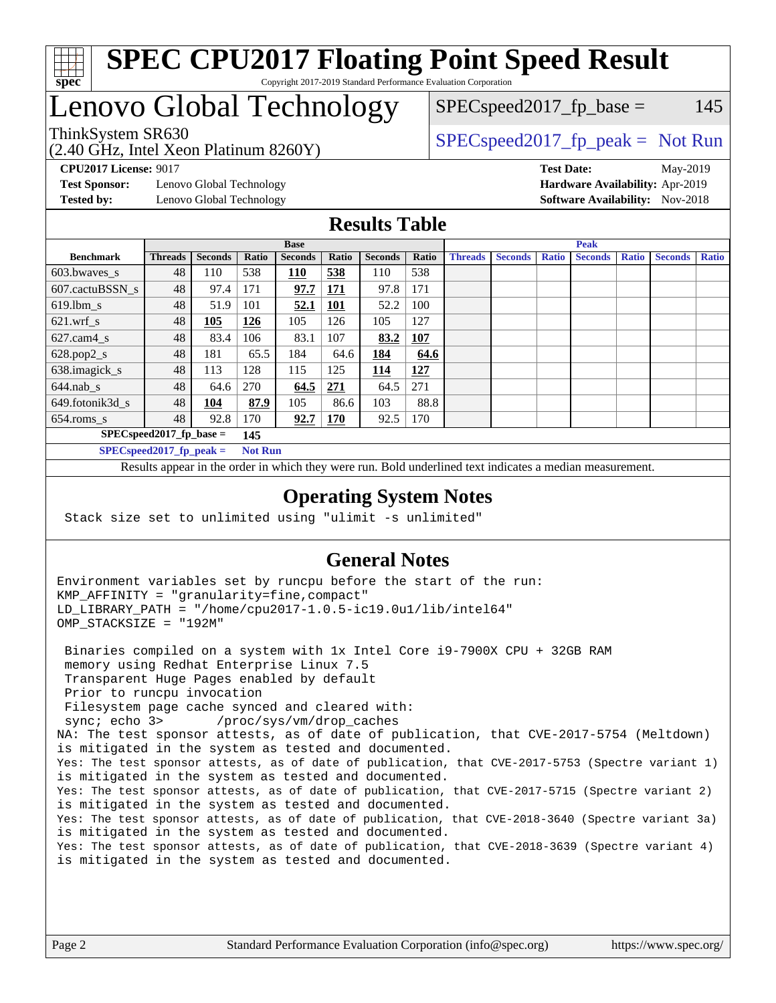

#### **[SPEC CPU2017 Floating Point Speed Result](http://www.spec.org/auto/cpu2017/Docs/result-fields.html#SPECCPU2017FloatingPointSpeedResult)** Copyright 2017-2019 Standard Performance Evaluation Corporation

# Lenovo Global Technology

(2.40 GHz, Intel Xeon Platinum 8260Y)

ThinkSystem SR630<br>  $SPEC speed2017<sub>rfp</sub> peak = Not Run$ 

 $SPEC speed2017<sub>fp</sub> base = 145$ 

**[Test Sponsor:](http://www.spec.org/auto/cpu2017/Docs/result-fields.html#TestSponsor)** Lenovo Global Technology **[Hardware Availability:](http://www.spec.org/auto/cpu2017/Docs/result-fields.html#HardwareAvailability)** Apr-2019 **[Tested by:](http://www.spec.org/auto/cpu2017/Docs/result-fields.html#Testedby)** Lenovo Global Technology **[Software Availability:](http://www.spec.org/auto/cpu2017/Docs/result-fields.html#SoftwareAvailability)** Nov-2018

**[CPU2017 License:](http://www.spec.org/auto/cpu2017/Docs/result-fields.html#CPU2017License)** 9017 **[Test Date:](http://www.spec.org/auto/cpu2017/Docs/result-fields.html#TestDate)** May-2019

### **[Results Table](http://www.spec.org/auto/cpu2017/Docs/result-fields.html#ResultsTable)**

|                                   | <b>Base</b>                                  |                |       |                | <b>Peak</b> |                |            |                |                |              |                |              |                |              |
|-----------------------------------|----------------------------------------------|----------------|-------|----------------|-------------|----------------|------------|----------------|----------------|--------------|----------------|--------------|----------------|--------------|
| <b>Benchmark</b>                  | <b>Threads</b>                               | <b>Seconds</b> | Ratio | <b>Seconds</b> | Ratio       | <b>Seconds</b> | Ratio      | <b>Threads</b> | <b>Seconds</b> | <b>Ratio</b> | <b>Seconds</b> | <b>Ratio</b> | <b>Seconds</b> | <b>Ratio</b> |
| $603.bwaves$ s                    | 48                                           | 110            | 538   | 110            | 538         | 110            | 538        |                |                |              |                |              |                |              |
| 607.cactuBSSN s                   | 48                                           | 97.4           | 171   | 97.7           | 171         | 97.8           | 171        |                |                |              |                |              |                |              |
| $619.$ lbm_s                      | 48                                           | 51.9           | 101   | 52.1           | <b>101</b>  | 52.2           | 100        |                |                |              |                |              |                |              |
| $621.wrf$ s                       | 48                                           | 105            | 126   | 105            | 126         | 105            | 127        |                |                |              |                |              |                |              |
| $627$ .cam $4 \text{ s}$          | 48                                           | 83.4           | 106   | 83.1           | 107         | 83.2           | <b>107</b> |                |                |              |                |              |                |              |
| $628.pop2_s$                      | 48                                           | 181            | 65.5  | 184            | 64.6        | 184            | 64.6       |                |                |              |                |              |                |              |
| 638.imagick_s                     | 48                                           | 113            | 128   | 115            | 125         | 114            | 127        |                |                |              |                |              |                |              |
| $644$ .nab s                      | 48                                           | 64.6           | 270   | 64.5           | <u>271</u>  | 64.5           | 271        |                |                |              |                |              |                |              |
| 649.fotonik3d s                   | 48                                           | 104            | 87.9  | 105            | 86.6        | 103            | 88.8       |                |                |              |                |              |                |              |
| $654$ .roms_s                     | 48                                           | 92.8           | 170   | 92.7           | <b>170</b>  | 92.5           | 170        |                |                |              |                |              |                |              |
| $SPEC speed2017$ fp base =<br>145 |                                              |                |       |                |             |                |            |                |                |              |                |              |                |              |
|                                   | $SPECspeed2017_fp\_peak =$<br><b>Not Run</b> |                |       |                |             |                |            |                |                |              |                |              |                |              |

Results appear in the [order in which they were run.](http://www.spec.org/auto/cpu2017/Docs/result-fields.html#RunOrder) Bold underlined text [indicates a median measurement](http://www.spec.org/auto/cpu2017/Docs/result-fields.html#Median).

#### **[Operating System Notes](http://www.spec.org/auto/cpu2017/Docs/result-fields.html#OperatingSystemNotes)**

Stack size set to unlimited using "ulimit -s unlimited"

### **[General Notes](http://www.spec.org/auto/cpu2017/Docs/result-fields.html#GeneralNotes)**

Environment variables set by runcpu before the start of the run: KMP\_AFFINITY = "granularity=fine,compact" LD\_LIBRARY\_PATH = "/home/cpu2017-1.0.5-ic19.0u1/lib/intel64" OMP\_STACKSIZE = "192M"

 Binaries compiled on a system with 1x Intel Core i9-7900X CPU + 32GB RAM memory using Redhat Enterprise Linux 7.5 Transparent Huge Pages enabled by default Prior to runcpu invocation Filesystem page cache synced and cleared with: sync; echo 3> /proc/sys/vm/drop\_caches NA: The test sponsor attests, as of date of publication, that CVE-2017-5754 (Meltdown) is mitigated in the system as tested and documented. Yes: The test sponsor attests, as of date of publication, that CVE-2017-5753 (Spectre variant 1) is mitigated in the system as tested and documented. Yes: The test sponsor attests, as of date of publication, that CVE-2017-5715 (Spectre variant 2) is mitigated in the system as tested and documented. Yes: The test sponsor attests, as of date of publication, that CVE-2018-3640 (Spectre variant 3a) is mitigated in the system as tested and documented. Yes: The test sponsor attests, as of date of publication, that CVE-2018-3639 (Spectre variant 4) is mitigated in the system as tested and documented.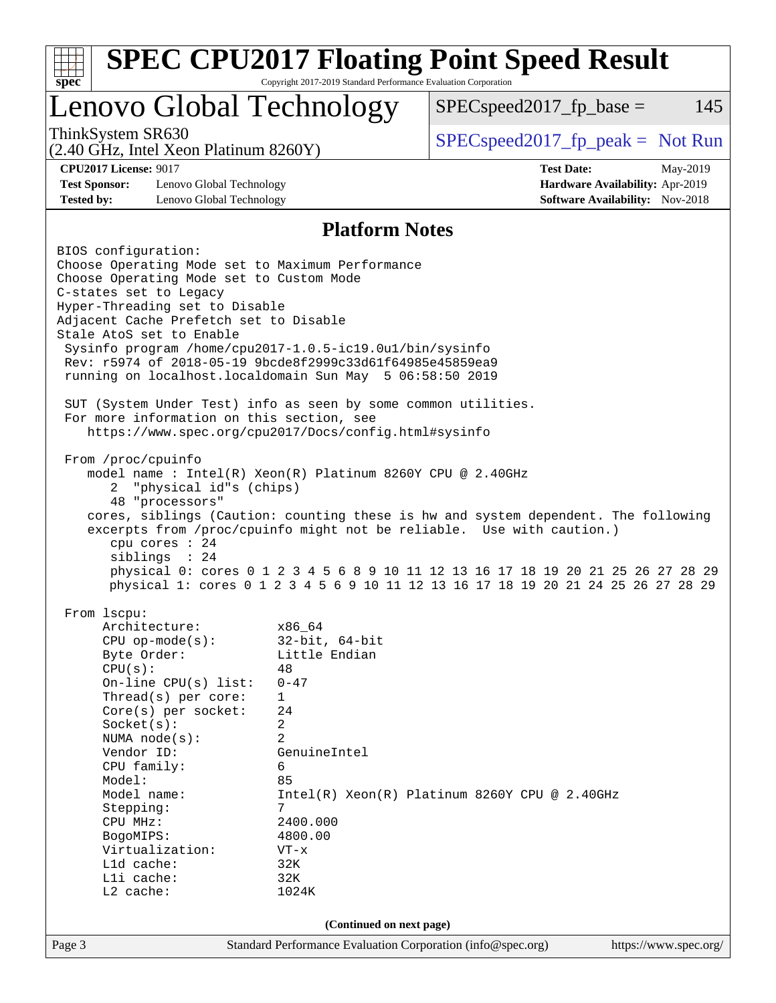| Lenovo Global Technology<br>145<br>$SPEC speed2017fp base =$<br>ThinkSystem SR630<br>$SPEC speed2017_fp\_peak = Not Run$<br>(2.40 GHz, Intel Xeon Platinum 8260Y)<br><b>CPU2017 License: 9017</b><br><b>Test Date:</b><br>May-2019<br><b>Test Sponsor:</b><br>Lenovo Global Technology<br>Hardware Availability: Apr-2019<br><b>Tested by:</b><br><b>Software Availability:</b> Nov-2018<br>Lenovo Global Technology<br><b>Platform Notes</b><br>BIOS configuration:<br>Choose Operating Mode set to Maximum Performance<br>Choose Operating Mode set to Custom Mode<br>C-states set to Legacy<br>Hyper-Threading set to Disable<br>Adjacent Cache Prefetch set to Disable<br>Stale AtoS set to Enable<br>Sysinfo program /home/cpu2017-1.0.5-ic19.0ul/bin/sysinfo<br>Rev: r5974 of 2018-05-19 9bcde8f2999c33d61f64985e45859ea9<br>running on localhost.localdomain Sun May 5 06:58:50 2019<br>SUT (System Under Test) info as seen by some common utilities.<br>For more information on this section, see<br>https://www.spec.org/cpu2017/Docs/config.html#sysinfo<br>From /proc/cpuinfo<br>model name: $Intel(R)$ Xeon(R) Platinum 8260Y CPU @ 2.40GHz<br>"physical id"s (chips)<br>2<br>48 "processors"<br>cores, siblings (Caution: counting these is hw and system dependent. The following<br>excerpts from /proc/cpuinfo might not be reliable. Use with caution.)<br>cpu cores $: 24$<br>siblings : 24<br>physical 0: cores 0 1 2 3 4 5 6 8 9 10 11 12 13 16 17 18 19 20 21 25 26 27 28 29<br>physical 1: cores 0 1 2 3 4 5 6 9 10 11 12 13 16 17 18 19 20 21 24 25 26 27 28 29<br>From lscpu:<br>Architecture:<br>x86_64<br>$32$ -bit, $64$ -bit<br>$CPU$ op-mode( $s$ ):<br>Little Endian<br>Byte Order:<br>48<br>CPU(s):<br>On-line CPU(s) list:<br>$0 - 47$<br>Thread( $s$ ) per core:<br>1<br>Core(s) per socket:<br>24<br>2<br>Socket(s):<br>2<br>NUMA $node(s)$ :<br>Vendor ID:<br>GenuineIntel<br>CPU family:<br>6<br>Model:<br>85<br>Model name:<br>$Intel(R) Xeon(R) Platinum 8260Y CPU @ 2.40GHz$<br>Stepping:<br>7<br>2400.000<br>CPU MHz:<br>4800.00<br>BogoMIPS:<br>Virtualization:<br>$VT - x$<br>L1d cache:<br>32K<br>Lli cache:<br>32K<br>L2 cache:<br>1024K<br>(Continued on next page) | <b>SPEC CPU2017 Floating Point Speed Result</b><br>spec <sup>®</sup> | Copyright 2017-2019 Standard Performance Evaluation Corporation |  |  |  |  |  |
|-------------------------------------------------------------------------------------------------------------------------------------------------------------------------------------------------------------------------------------------------------------------------------------------------------------------------------------------------------------------------------------------------------------------------------------------------------------------------------------------------------------------------------------------------------------------------------------------------------------------------------------------------------------------------------------------------------------------------------------------------------------------------------------------------------------------------------------------------------------------------------------------------------------------------------------------------------------------------------------------------------------------------------------------------------------------------------------------------------------------------------------------------------------------------------------------------------------------------------------------------------------------------------------------------------------------------------------------------------------------------------------------------------------------------------------------------------------------------------------------------------------------------------------------------------------------------------------------------------------------------------------------------------------------------------------------------------------------------------------------------------------------------------------------------------------------------------------------------------------------------------------------------------------------------------------------------------------------------------------------------------------------------------------------------------------------------------------------------------------------------------------------------------------------------------------------------------------------|----------------------------------------------------------------------|-----------------------------------------------------------------|--|--|--|--|--|
|                                                                                                                                                                                                                                                                                                                                                                                                                                                                                                                                                                                                                                                                                                                                                                                                                                                                                                                                                                                                                                                                                                                                                                                                                                                                                                                                                                                                                                                                                                                                                                                                                                                                                                                                                                                                                                                                                                                                                                                                                                                                                                                                                                                                                   |                                                                      |                                                                 |  |  |  |  |  |
|                                                                                                                                                                                                                                                                                                                                                                                                                                                                                                                                                                                                                                                                                                                                                                                                                                                                                                                                                                                                                                                                                                                                                                                                                                                                                                                                                                                                                                                                                                                                                                                                                                                                                                                                                                                                                                                                                                                                                                                                                                                                                                                                                                                                                   |                                                                      |                                                                 |  |  |  |  |  |
|                                                                                                                                                                                                                                                                                                                                                                                                                                                                                                                                                                                                                                                                                                                                                                                                                                                                                                                                                                                                                                                                                                                                                                                                                                                                                                                                                                                                                                                                                                                                                                                                                                                                                                                                                                                                                                                                                                                                                                                                                                                                                                                                                                                                                   |                                                                      |                                                                 |  |  |  |  |  |
|                                                                                                                                                                                                                                                                                                                                                                                                                                                                                                                                                                                                                                                                                                                                                                                                                                                                                                                                                                                                                                                                                                                                                                                                                                                                                                                                                                                                                                                                                                                                                                                                                                                                                                                                                                                                                                                                                                                                                                                                                                                                                                                                                                                                                   |                                                                      |                                                                 |  |  |  |  |  |
|                                                                                                                                                                                                                                                                                                                                                                                                                                                                                                                                                                                                                                                                                                                                                                                                                                                                                                                                                                                                                                                                                                                                                                                                                                                                                                                                                                                                                                                                                                                                                                                                                                                                                                                                                                                                                                                                                                                                                                                                                                                                                                                                                                                                                   |                                                                      |                                                                 |  |  |  |  |  |
|                                                                                                                                                                                                                                                                                                                                                                                                                                                                                                                                                                                                                                                                                                                                                                                                                                                                                                                                                                                                                                                                                                                                                                                                                                                                                                                                                                                                                                                                                                                                                                                                                                                                                                                                                                                                                                                                                                                                                                                                                                                                                                                                                                                                                   |                                                                      |                                                                 |  |  |  |  |  |
|                                                                                                                                                                                                                                                                                                                                                                                                                                                                                                                                                                                                                                                                                                                                                                                                                                                                                                                                                                                                                                                                                                                                                                                                                                                                                                                                                                                                                                                                                                                                                                                                                                                                                                                                                                                                                                                                                                                                                                                                                                                                                                                                                                                                                   |                                                                      |                                                                 |  |  |  |  |  |
|                                                                                                                                                                                                                                                                                                                                                                                                                                                                                                                                                                                                                                                                                                                                                                                                                                                                                                                                                                                                                                                                                                                                                                                                                                                                                                                                                                                                                                                                                                                                                                                                                                                                                                                                                                                                                                                                                                                                                                                                                                                                                                                                                                                                                   |                                                                      |                                                                 |  |  |  |  |  |
|                                                                                                                                                                                                                                                                                                                                                                                                                                                                                                                                                                                                                                                                                                                                                                                                                                                                                                                                                                                                                                                                                                                                                                                                                                                                                                                                                                                                                                                                                                                                                                                                                                                                                                                                                                                                                                                                                                                                                                                                                                                                                                                                                                                                                   |                                                                      |                                                                 |  |  |  |  |  |
|                                                                                                                                                                                                                                                                                                                                                                                                                                                                                                                                                                                                                                                                                                                                                                                                                                                                                                                                                                                                                                                                                                                                                                                                                                                                                                                                                                                                                                                                                                                                                                                                                                                                                                                                                                                                                                                                                                                                                                                                                                                                                                                                                                                                                   |                                                                      |                                                                 |  |  |  |  |  |
|                                                                                                                                                                                                                                                                                                                                                                                                                                                                                                                                                                                                                                                                                                                                                                                                                                                                                                                                                                                                                                                                                                                                                                                                                                                                                                                                                                                                                                                                                                                                                                                                                                                                                                                                                                                                                                                                                                                                                                                                                                                                                                                                                                                                                   |                                                                      |                                                                 |  |  |  |  |  |
|                                                                                                                                                                                                                                                                                                                                                                                                                                                                                                                                                                                                                                                                                                                                                                                                                                                                                                                                                                                                                                                                                                                                                                                                                                                                                                                                                                                                                                                                                                                                                                                                                                                                                                                                                                                                                                                                                                                                                                                                                                                                                                                                                                                                                   |                                                                      |                                                                 |  |  |  |  |  |
|                                                                                                                                                                                                                                                                                                                                                                                                                                                                                                                                                                                                                                                                                                                                                                                                                                                                                                                                                                                                                                                                                                                                                                                                                                                                                                                                                                                                                                                                                                                                                                                                                                                                                                                                                                                                                                                                                                                                                                                                                                                                                                                                                                                                                   |                                                                      |                                                                 |  |  |  |  |  |
|                                                                                                                                                                                                                                                                                                                                                                                                                                                                                                                                                                                                                                                                                                                                                                                                                                                                                                                                                                                                                                                                                                                                                                                                                                                                                                                                                                                                                                                                                                                                                                                                                                                                                                                                                                                                                                                                                                                                                                                                                                                                                                                                                                                                                   |                                                                      |                                                                 |  |  |  |  |  |
|                                                                                                                                                                                                                                                                                                                                                                                                                                                                                                                                                                                                                                                                                                                                                                                                                                                                                                                                                                                                                                                                                                                                                                                                                                                                                                                                                                                                                                                                                                                                                                                                                                                                                                                                                                                                                                                                                                                                                                                                                                                                                                                                                                                                                   |                                                                      |                                                                 |  |  |  |  |  |
|                                                                                                                                                                                                                                                                                                                                                                                                                                                                                                                                                                                                                                                                                                                                                                                                                                                                                                                                                                                                                                                                                                                                                                                                                                                                                                                                                                                                                                                                                                                                                                                                                                                                                                                                                                                                                                                                                                                                                                                                                                                                                                                                                                                                                   |                                                                      |                                                                 |  |  |  |  |  |
|                                                                                                                                                                                                                                                                                                                                                                                                                                                                                                                                                                                                                                                                                                                                                                                                                                                                                                                                                                                                                                                                                                                                                                                                                                                                                                                                                                                                                                                                                                                                                                                                                                                                                                                                                                                                                                                                                                                                                                                                                                                                                                                                                                                                                   |                                                                      |                                                                 |  |  |  |  |  |
|                                                                                                                                                                                                                                                                                                                                                                                                                                                                                                                                                                                                                                                                                                                                                                                                                                                                                                                                                                                                                                                                                                                                                                                                                                                                                                                                                                                                                                                                                                                                                                                                                                                                                                                                                                                                                                                                                                                                                                                                                                                                                                                                                                                                                   |                                                                      |                                                                 |  |  |  |  |  |
|                                                                                                                                                                                                                                                                                                                                                                                                                                                                                                                                                                                                                                                                                                                                                                                                                                                                                                                                                                                                                                                                                                                                                                                                                                                                                                                                                                                                                                                                                                                                                                                                                                                                                                                                                                                                                                                                                                                                                                                                                                                                                                                                                                                                                   |                                                                      |                                                                 |  |  |  |  |  |
|                                                                                                                                                                                                                                                                                                                                                                                                                                                                                                                                                                                                                                                                                                                                                                                                                                                                                                                                                                                                                                                                                                                                                                                                                                                                                                                                                                                                                                                                                                                                                                                                                                                                                                                                                                                                                                                                                                                                                                                                                                                                                                                                                                                                                   |                                                                      |                                                                 |  |  |  |  |  |
|                                                                                                                                                                                                                                                                                                                                                                                                                                                                                                                                                                                                                                                                                                                                                                                                                                                                                                                                                                                                                                                                                                                                                                                                                                                                                                                                                                                                                                                                                                                                                                                                                                                                                                                                                                                                                                                                                                                                                                                                                                                                                                                                                                                                                   |                                                                      |                                                                 |  |  |  |  |  |
|                                                                                                                                                                                                                                                                                                                                                                                                                                                                                                                                                                                                                                                                                                                                                                                                                                                                                                                                                                                                                                                                                                                                                                                                                                                                                                                                                                                                                                                                                                                                                                                                                                                                                                                                                                                                                                                                                                                                                                                                                                                                                                                                                                                                                   |                                                                      |                                                                 |  |  |  |  |  |
|                                                                                                                                                                                                                                                                                                                                                                                                                                                                                                                                                                                                                                                                                                                                                                                                                                                                                                                                                                                                                                                                                                                                                                                                                                                                                                                                                                                                                                                                                                                                                                                                                                                                                                                                                                                                                                                                                                                                                                                                                                                                                                                                                                                                                   |                                                                      |                                                                 |  |  |  |  |  |
|                                                                                                                                                                                                                                                                                                                                                                                                                                                                                                                                                                                                                                                                                                                                                                                                                                                                                                                                                                                                                                                                                                                                                                                                                                                                                                                                                                                                                                                                                                                                                                                                                                                                                                                                                                                                                                                                                                                                                                                                                                                                                                                                                                                                                   |                                                                      |                                                                 |  |  |  |  |  |
|                                                                                                                                                                                                                                                                                                                                                                                                                                                                                                                                                                                                                                                                                                                                                                                                                                                                                                                                                                                                                                                                                                                                                                                                                                                                                                                                                                                                                                                                                                                                                                                                                                                                                                                                                                                                                                                                                                                                                                                                                                                                                                                                                                                                                   |                                                                      |                                                                 |  |  |  |  |  |
|                                                                                                                                                                                                                                                                                                                                                                                                                                                                                                                                                                                                                                                                                                                                                                                                                                                                                                                                                                                                                                                                                                                                                                                                                                                                                                                                                                                                                                                                                                                                                                                                                                                                                                                                                                                                                                                                                                                                                                                                                                                                                                                                                                                                                   |                                                                      |                                                                 |  |  |  |  |  |
|                                                                                                                                                                                                                                                                                                                                                                                                                                                                                                                                                                                                                                                                                                                                                                                                                                                                                                                                                                                                                                                                                                                                                                                                                                                                                                                                                                                                                                                                                                                                                                                                                                                                                                                                                                                                                                                                                                                                                                                                                                                                                                                                                                                                                   |                                                                      |                                                                 |  |  |  |  |  |
|                                                                                                                                                                                                                                                                                                                                                                                                                                                                                                                                                                                                                                                                                                                                                                                                                                                                                                                                                                                                                                                                                                                                                                                                                                                                                                                                                                                                                                                                                                                                                                                                                                                                                                                                                                                                                                                                                                                                                                                                                                                                                                                                                                                                                   |                                                                      |                                                                 |  |  |  |  |  |
|                                                                                                                                                                                                                                                                                                                                                                                                                                                                                                                                                                                                                                                                                                                                                                                                                                                                                                                                                                                                                                                                                                                                                                                                                                                                                                                                                                                                                                                                                                                                                                                                                                                                                                                                                                                                                                                                                                                                                                                                                                                                                                                                                                                                                   |                                                                      |                                                                 |  |  |  |  |  |
|                                                                                                                                                                                                                                                                                                                                                                                                                                                                                                                                                                                                                                                                                                                                                                                                                                                                                                                                                                                                                                                                                                                                                                                                                                                                                                                                                                                                                                                                                                                                                                                                                                                                                                                                                                                                                                                                                                                                                                                                                                                                                                                                                                                                                   |                                                                      |                                                                 |  |  |  |  |  |
|                                                                                                                                                                                                                                                                                                                                                                                                                                                                                                                                                                                                                                                                                                                                                                                                                                                                                                                                                                                                                                                                                                                                                                                                                                                                                                                                                                                                                                                                                                                                                                                                                                                                                                                                                                                                                                                                                                                                                                                                                                                                                                                                                                                                                   |                                                                      |                                                                 |  |  |  |  |  |
|                                                                                                                                                                                                                                                                                                                                                                                                                                                                                                                                                                                                                                                                                                                                                                                                                                                                                                                                                                                                                                                                                                                                                                                                                                                                                                                                                                                                                                                                                                                                                                                                                                                                                                                                                                                                                                                                                                                                                                                                                                                                                                                                                                                                                   |                                                                      |                                                                 |  |  |  |  |  |
|                                                                                                                                                                                                                                                                                                                                                                                                                                                                                                                                                                                                                                                                                                                                                                                                                                                                                                                                                                                                                                                                                                                                                                                                                                                                                                                                                                                                                                                                                                                                                                                                                                                                                                                                                                                                                                                                                                                                                                                                                                                                                                                                                                                                                   |                                                                      |                                                                 |  |  |  |  |  |
|                                                                                                                                                                                                                                                                                                                                                                                                                                                                                                                                                                                                                                                                                                                                                                                                                                                                                                                                                                                                                                                                                                                                                                                                                                                                                                                                                                                                                                                                                                                                                                                                                                                                                                                                                                                                                                                                                                                                                                                                                                                                                                                                                                                                                   |                                                                      |                                                                 |  |  |  |  |  |
|                                                                                                                                                                                                                                                                                                                                                                                                                                                                                                                                                                                                                                                                                                                                                                                                                                                                                                                                                                                                                                                                                                                                                                                                                                                                                                                                                                                                                                                                                                                                                                                                                                                                                                                                                                                                                                                                                                                                                                                                                                                                                                                                                                                                                   |                                                                      |                                                                 |  |  |  |  |  |
|                                                                                                                                                                                                                                                                                                                                                                                                                                                                                                                                                                                                                                                                                                                                                                                                                                                                                                                                                                                                                                                                                                                                                                                                                                                                                                                                                                                                                                                                                                                                                                                                                                                                                                                                                                                                                                                                                                                                                                                                                                                                                                                                                                                                                   |                                                                      |                                                                 |  |  |  |  |  |
|                                                                                                                                                                                                                                                                                                                                                                                                                                                                                                                                                                                                                                                                                                                                                                                                                                                                                                                                                                                                                                                                                                                                                                                                                                                                                                                                                                                                                                                                                                                                                                                                                                                                                                                                                                                                                                                                                                                                                                                                                                                                                                                                                                                                                   |                                                                      |                                                                 |  |  |  |  |  |
|                                                                                                                                                                                                                                                                                                                                                                                                                                                                                                                                                                                                                                                                                                                                                                                                                                                                                                                                                                                                                                                                                                                                                                                                                                                                                                                                                                                                                                                                                                                                                                                                                                                                                                                                                                                                                                                                                                                                                                                                                                                                                                                                                                                                                   |                                                                      |                                                                 |  |  |  |  |  |
|                                                                                                                                                                                                                                                                                                                                                                                                                                                                                                                                                                                                                                                                                                                                                                                                                                                                                                                                                                                                                                                                                                                                                                                                                                                                                                                                                                                                                                                                                                                                                                                                                                                                                                                                                                                                                                                                                                                                                                                                                                                                                                                                                                                                                   |                                                                      |                                                                 |  |  |  |  |  |
|                                                                                                                                                                                                                                                                                                                                                                                                                                                                                                                                                                                                                                                                                                                                                                                                                                                                                                                                                                                                                                                                                                                                                                                                                                                                                                                                                                                                                                                                                                                                                                                                                                                                                                                                                                                                                                                                                                                                                                                                                                                                                                                                                                                                                   |                                                                      |                                                                 |  |  |  |  |  |
|                                                                                                                                                                                                                                                                                                                                                                                                                                                                                                                                                                                                                                                                                                                                                                                                                                                                                                                                                                                                                                                                                                                                                                                                                                                                                                                                                                                                                                                                                                                                                                                                                                                                                                                                                                                                                                                                                                                                                                                                                                                                                                                                                                                                                   |                                                                      |                                                                 |  |  |  |  |  |
|                                                                                                                                                                                                                                                                                                                                                                                                                                                                                                                                                                                                                                                                                                                                                                                                                                                                                                                                                                                                                                                                                                                                                                                                                                                                                                                                                                                                                                                                                                                                                                                                                                                                                                                                                                                                                                                                                                                                                                                                                                                                                                                                                                                                                   |                                                                      |                                                                 |  |  |  |  |  |
|                                                                                                                                                                                                                                                                                                                                                                                                                                                                                                                                                                                                                                                                                                                                                                                                                                                                                                                                                                                                                                                                                                                                                                                                                                                                                                                                                                                                                                                                                                                                                                                                                                                                                                                                                                                                                                                                                                                                                                                                                                                                                                                                                                                                                   |                                                                      |                                                                 |  |  |  |  |  |
|                                                                                                                                                                                                                                                                                                                                                                                                                                                                                                                                                                                                                                                                                                                                                                                                                                                                                                                                                                                                                                                                                                                                                                                                                                                                                                                                                                                                                                                                                                                                                                                                                                                                                                                                                                                                                                                                                                                                                                                                                                                                                                                                                                                                                   |                                                                      |                                                                 |  |  |  |  |  |
|                                                                                                                                                                                                                                                                                                                                                                                                                                                                                                                                                                                                                                                                                                                                                                                                                                                                                                                                                                                                                                                                                                                                                                                                                                                                                                                                                                                                                                                                                                                                                                                                                                                                                                                                                                                                                                                                                                                                                                                                                                                                                                                                                                                                                   |                                                                      |                                                                 |  |  |  |  |  |
|                                                                                                                                                                                                                                                                                                                                                                                                                                                                                                                                                                                                                                                                                                                                                                                                                                                                                                                                                                                                                                                                                                                                                                                                                                                                                                                                                                                                                                                                                                                                                                                                                                                                                                                                                                                                                                                                                                                                                                                                                                                                                                                                                                                                                   |                                                                      |                                                                 |  |  |  |  |  |
| Page 3<br>Standard Performance Evaluation Corporation (info@spec.org)<br>https://www.spec.org/                                                                                                                                                                                                                                                                                                                                                                                                                                                                                                                                                                                                                                                                                                                                                                                                                                                                                                                                                                                                                                                                                                                                                                                                                                                                                                                                                                                                                                                                                                                                                                                                                                                                                                                                                                                                                                                                                                                                                                                                                                                                                                                    |                                                                      |                                                                 |  |  |  |  |  |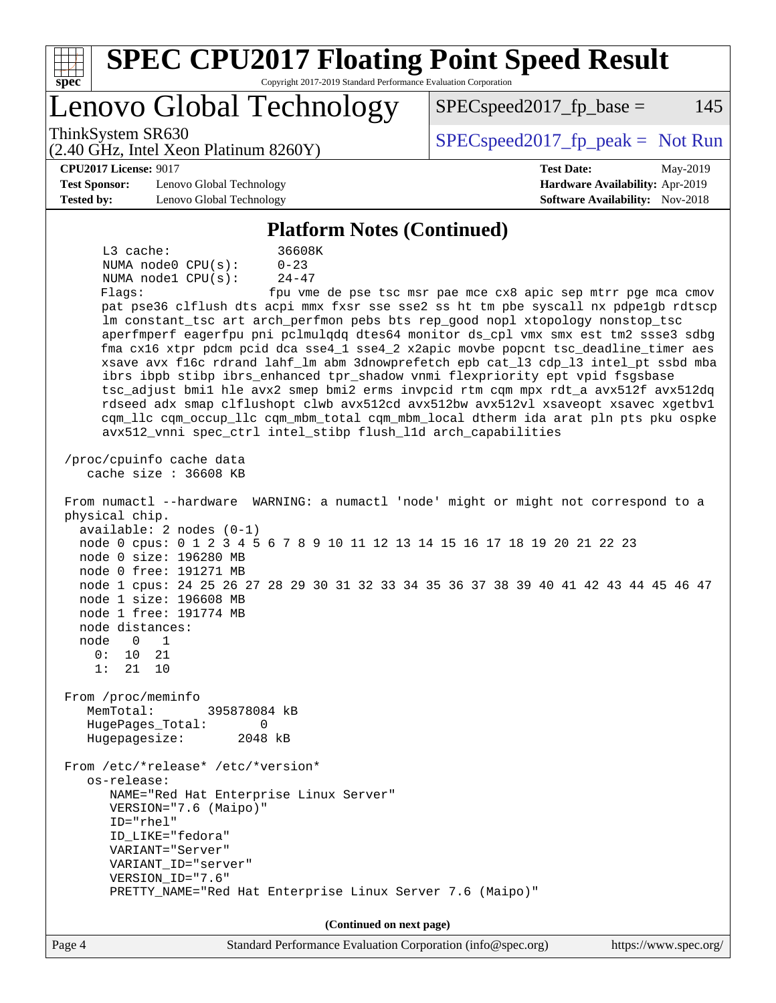| <b>SPEC CPU2017 Floating Point Speed Result</b><br>Copyright 2017-2019 Standard Performance Evaluation Corporation<br>spec <sup>®</sup>                                                                                                                                                                                                                                                                                                                                                                                                                                                                                                                                                                                                                                                                                                                                                                                                                                                                                                                                                                                                                                                                                                                                                                                                                                                                                                                                                                                                                                                                                                                                                                                                                                                                                                                                                                                                 |                                                               |
|-----------------------------------------------------------------------------------------------------------------------------------------------------------------------------------------------------------------------------------------------------------------------------------------------------------------------------------------------------------------------------------------------------------------------------------------------------------------------------------------------------------------------------------------------------------------------------------------------------------------------------------------------------------------------------------------------------------------------------------------------------------------------------------------------------------------------------------------------------------------------------------------------------------------------------------------------------------------------------------------------------------------------------------------------------------------------------------------------------------------------------------------------------------------------------------------------------------------------------------------------------------------------------------------------------------------------------------------------------------------------------------------------------------------------------------------------------------------------------------------------------------------------------------------------------------------------------------------------------------------------------------------------------------------------------------------------------------------------------------------------------------------------------------------------------------------------------------------------------------------------------------------------------------------------------------------|---------------------------------------------------------------|
| Lenovo Global Technology                                                                                                                                                                                                                                                                                                                                                                                                                                                                                                                                                                                                                                                                                                                                                                                                                                                                                                                                                                                                                                                                                                                                                                                                                                                                                                                                                                                                                                                                                                                                                                                                                                                                                                                                                                                                                                                                                                                | $SPEC speed2017fr base =$<br>145                              |
| ThinkSystem SR630<br>$(2.40 \text{ GHz}, \text{Intel Xeon Platinum } 8260 \text{Y})$                                                                                                                                                                                                                                                                                                                                                                                                                                                                                                                                                                                                                                                                                                                                                                                                                                                                                                                                                                                                                                                                                                                                                                                                                                                                                                                                                                                                                                                                                                                                                                                                                                                                                                                                                                                                                                                    | $SPEC speed2017fr peak = Not Run$                             |
| <b>CPU2017 License: 9017</b>                                                                                                                                                                                                                                                                                                                                                                                                                                                                                                                                                                                                                                                                                                                                                                                                                                                                                                                                                                                                                                                                                                                                                                                                                                                                                                                                                                                                                                                                                                                                                                                                                                                                                                                                                                                                                                                                                                            | <b>Test Date:</b><br>May-2019                                 |
| <b>Test Sponsor:</b><br>Lenovo Global Technology                                                                                                                                                                                                                                                                                                                                                                                                                                                                                                                                                                                                                                                                                                                                                                                                                                                                                                                                                                                                                                                                                                                                                                                                                                                                                                                                                                                                                                                                                                                                                                                                                                                                                                                                                                                                                                                                                        | Hardware Availability: Apr-2019                               |
| <b>Tested by:</b><br>Lenovo Global Technology                                                                                                                                                                                                                                                                                                                                                                                                                                                                                                                                                                                                                                                                                                                                                                                                                                                                                                                                                                                                                                                                                                                                                                                                                                                                                                                                                                                                                                                                                                                                                                                                                                                                                                                                                                                                                                                                                           | <b>Software Availability:</b> Nov-2018                        |
| <b>Platform Notes (Continued)</b>                                                                                                                                                                                                                                                                                                                                                                                                                                                                                                                                                                                                                                                                                                                                                                                                                                                                                                                                                                                                                                                                                                                                                                                                                                                                                                                                                                                                                                                                                                                                                                                                                                                                                                                                                                                                                                                                                                       |                                                               |
| 36608K<br>$L3$ cache:<br>$0 - 23$<br>NUMA $node0$ $CPU(s)$ :<br>NUMA node1 CPU(s):<br>$24 - 47$<br>Flaqs:<br>pat pse36 clflush dts acpi mmx fxsr sse sse2 ss ht tm pbe syscall nx pdpe1gb rdtscp<br>lm constant_tsc art arch_perfmon pebs bts rep_good nopl xtopology nonstop_tsc<br>aperfmperf eagerfpu pni pclmulqdq dtes64 monitor ds_cpl vmx smx est tm2 ssse3 sdbg<br>fma cx16 xtpr pdcm pcid dca sse4_1 sse4_2 x2apic movbe popcnt tsc_deadline_timer aes<br>xsave avx f16c rdrand lahf_lm abm 3dnowprefetch epb cat_13 cdp_13 intel_pt ssbd mba<br>ibrs ibpb stibp ibrs_enhanced tpr_shadow vnmi flexpriority ept vpid fsgsbase<br>tsc_adjust bmil hle avx2 smep bmi2 erms invpcid rtm cqm mpx rdt_a avx512f avx512dq<br>rdseed adx smap clflushopt clwb avx512cd avx512bw avx512vl xsaveopt xsavec xgetbvl<br>cqm_llc cqm_occup_llc cqm_mbm_total cqm_mbm_local dtherm ida arat pln pts pku ospke<br>avx512_vnni spec_ctrl intel_stibp flush_lld arch_capabilities<br>/proc/cpuinfo cache data<br>cache size : 36608 KB<br>From numactl --hardware WARNING: a numactl 'node' might or might not correspond to a<br>physical chip.<br>$available: 2 nodes (0-1)$<br>node 0 cpus: 0 1 2 3 4 5 6 7 8 9 10 11 12 13 14 15 16 17 18 19 20 21 22 23<br>node 0 size: 196280 MB<br>node 0 free: 191271 MB<br>node 1 cpus: 24 25 26 27 28 29 30 31 32 33 34 35 36 37 38 39 40 41 42 43 44 45 46 47<br>node 1 size: 196608 MB<br>node 1 free: 191774 MB<br>node distances:<br>$\mathbf 0$<br>node<br>1<br>0:<br>10<br>21<br>1:<br>21<br>10<br>From /proc/meminfo<br>MemTotal:<br>395878084 kB<br>HugePages_Total:<br>0<br>Hugepagesize:<br>2048 kB<br>From /etc/*release* /etc/*version*<br>os-release:<br>NAME="Red Hat Enterprise Linux Server"<br>VERSION="7.6 (Maipo)"<br>$ID="rhe1"$<br>ID_LIKE="fedora"<br>VARIANT="Server"<br>VARIANT_ID="server"<br>VERSION_ID="7.6"<br>PRETTY_NAME="Red Hat Enterprise Linux Server 7.6 (Maipo)" | fpu vme de pse tsc msr pae mce cx8 apic sep mtrr pge mca cmov |
|                                                                                                                                                                                                                                                                                                                                                                                                                                                                                                                                                                                                                                                                                                                                                                                                                                                                                                                                                                                                                                                                                                                                                                                                                                                                                                                                                                                                                                                                                                                                                                                                                                                                                                                                                                                                                                                                                                                                         |                                                               |
| (Continued on next page)                                                                                                                                                                                                                                                                                                                                                                                                                                                                                                                                                                                                                                                                                                                                                                                                                                                                                                                                                                                                                                                                                                                                                                                                                                                                                                                                                                                                                                                                                                                                                                                                                                                                                                                                                                                                                                                                                                                |                                                               |
| Page 4<br>Standard Performance Evaluation Corporation (info@spec.org)                                                                                                                                                                                                                                                                                                                                                                                                                                                                                                                                                                                                                                                                                                                                                                                                                                                                                                                                                                                                                                                                                                                                                                                                                                                                                                                                                                                                                                                                                                                                                                                                                                                                                                                                                                                                                                                                   | https://www.spec.org/                                         |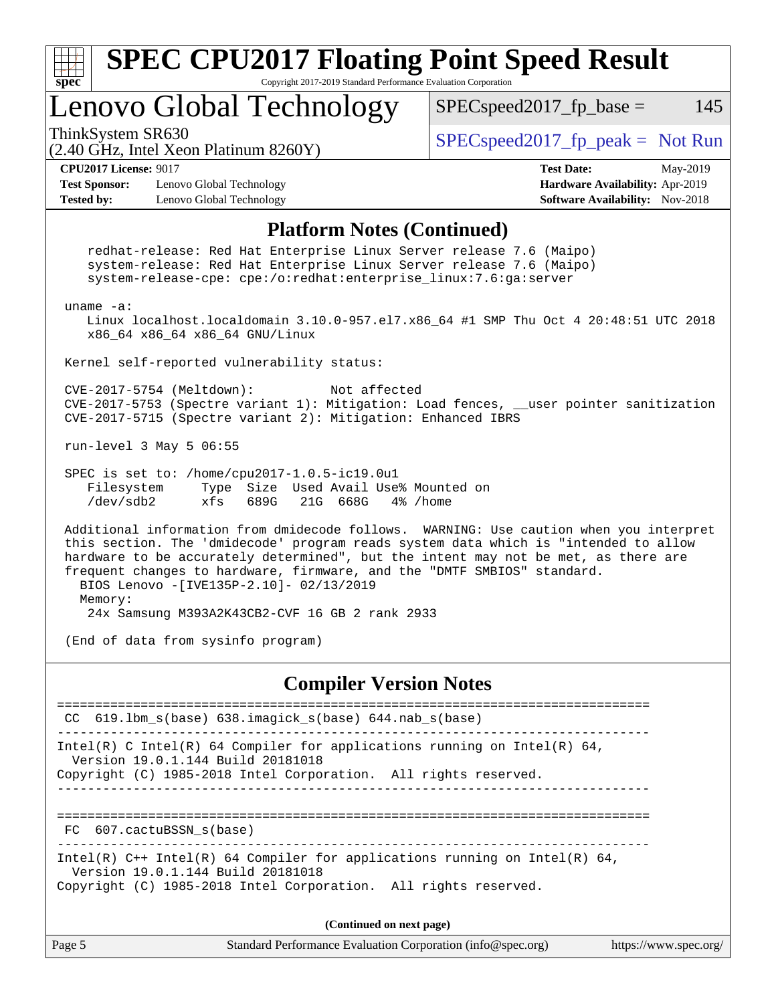

Page 5 Standard Performance Evaluation Corporation [\(info@spec.org\)](mailto:info@spec.org) <https://www.spec.org/> **(Continued on next page)**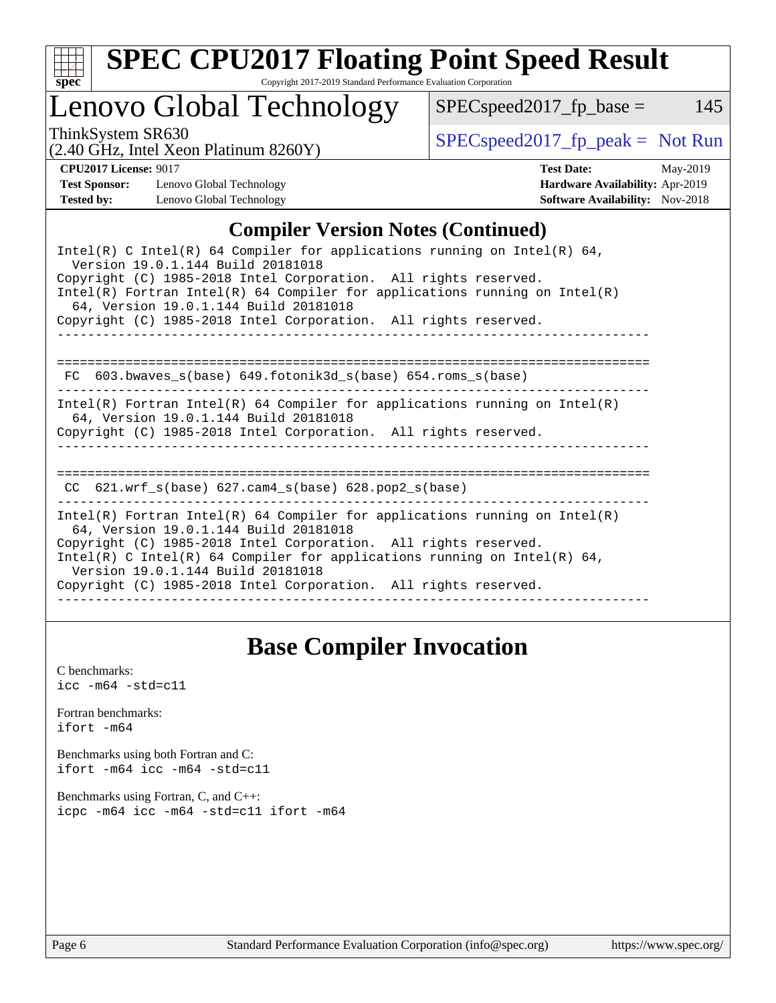

# **[SPEC CPU2017 Floating Point Speed Result](http://www.spec.org/auto/cpu2017/Docs/result-fields.html#SPECCPU2017FloatingPointSpeedResult)**

Copyright 2017-2019 Standard Performance Evaluation Corporation

# Lenovo Global Technology

ThinkSystem SR630<br>  $(2.40 \text{ GHz. Intel Yoon Plotinum } 8260 \text{V})$  [SPECspeed2017\\_fp\\_peak =](http://www.spec.org/auto/cpu2017/Docs/result-fields.html#SPECspeed2017fppeak) Not Run

 $SPEC speed2017_fp\_base = 145$ 

(2.40 GHz, Intel Xeon Platinum 8260Y)

**[CPU2017 License:](http://www.spec.org/auto/cpu2017/Docs/result-fields.html#CPU2017License)** 9017 **[Test Date:](http://www.spec.org/auto/cpu2017/Docs/result-fields.html#TestDate)** May-2019 **[Test Sponsor:](http://www.spec.org/auto/cpu2017/Docs/result-fields.html#TestSponsor)** Lenovo Global Technology **[Hardware Availability:](http://www.spec.org/auto/cpu2017/Docs/result-fields.html#HardwareAvailability)** Apr-2019 **[Tested by:](http://www.spec.org/auto/cpu2017/Docs/result-fields.html#Testedby)** Lenovo Global Technology **[Software Availability:](http://www.spec.org/auto/cpu2017/Docs/result-fields.html#SoftwareAvailability)** Nov-2018

### **[Compiler Version Notes \(Continued\)](http://www.spec.org/auto/cpu2017/Docs/result-fields.html#CompilerVersionNotes)**

| Intel(R) C Intel(R) 64 Compiler for applications running on Intel(R) 64,<br>Version 19.0.1.144 Build 20181018<br>Copyright (C) 1985-2018 Intel Corporation. All rights reserved.<br>Intel(R) Fortran Intel(R) 64 Compiler for applications running on Intel(R)<br>64, Version 19.0.1.144 Build 20181018<br>Copyright (C) 1985-2018 Intel Corporation. All rights reserved. |
|----------------------------------------------------------------------------------------------------------------------------------------------------------------------------------------------------------------------------------------------------------------------------------------------------------------------------------------------------------------------------|
| FC $603.bwaves$ s(base) $649.fotonik3d$ s(base) $654.roms$ s(base)                                                                                                                                                                                                                                                                                                         |
| Intel(R) Fortran Intel(R) 64 Compiler for applications running on Intel(R)<br>64, Version 19.0.1.144 Build 20181018<br>Copyright (C) 1985-2018 Intel Corporation. All rights reserved.                                                                                                                                                                                     |
| ============================<br>CC $621.$ wrf $s(base)$ 627.cam4 $s(base)$ 628.pop2 $s(base)$                                                                                                                                                                                                                                                                              |
| Intel(R) Fortran Intel(R) 64 Compiler for applications running on Intel(R)<br>64, Version 19.0.1.144 Build 20181018<br>Copyright (C) 1985-2018 Intel Corporation. All rights reserved.<br>Intel(R) C Intel(R) 64 Compiler for applications running on Intel(R) 64,<br>Version 19.0.1.144 Build 20181018<br>Copyright (C) 1985-2018 Intel Corporation. All rights reserved. |

### **[Base Compiler Invocation](http://www.spec.org/auto/cpu2017/Docs/result-fields.html#BaseCompilerInvocation)**

[C benchmarks](http://www.spec.org/auto/cpu2017/Docs/result-fields.html#Cbenchmarks):  $\text{icc}$  -m64 -std=c11 [Fortran benchmarks](http://www.spec.org/auto/cpu2017/Docs/result-fields.html#Fortranbenchmarks): [ifort -m64](http://www.spec.org/cpu2017/results/res2019q3/cpu2017-20190624-15476.flags.html#user_FCbase_intel_ifort_64bit_24f2bb282fbaeffd6157abe4f878425411749daecae9a33200eee2bee2fe76f3b89351d69a8130dd5949958ce389cf37ff59a95e7a40d588e8d3a57e0c3fd751) [Benchmarks using both Fortran and C](http://www.spec.org/auto/cpu2017/Docs/result-fields.html#BenchmarksusingbothFortranandC): [ifort -m64](http://www.spec.org/cpu2017/results/res2019q3/cpu2017-20190624-15476.flags.html#user_CC_FCbase_intel_ifort_64bit_24f2bb282fbaeffd6157abe4f878425411749daecae9a33200eee2bee2fe76f3b89351d69a8130dd5949958ce389cf37ff59a95e7a40d588e8d3a57e0c3fd751) [icc -m64 -std=c11](http://www.spec.org/cpu2017/results/res2019q3/cpu2017-20190624-15476.flags.html#user_CC_FCbase_intel_icc_64bit_c11_33ee0cdaae7deeeab2a9725423ba97205ce30f63b9926c2519791662299b76a0318f32ddfffdc46587804de3178b4f9328c46fa7c2b0cd779d7a61945c91cd35) [Benchmarks using Fortran, C, and C++:](http://www.spec.org/auto/cpu2017/Docs/result-fields.html#BenchmarksusingFortranCandCXX) [icpc -m64](http://www.spec.org/cpu2017/results/res2019q3/cpu2017-20190624-15476.flags.html#user_CC_CXX_FCbase_intel_icpc_64bit_4ecb2543ae3f1412ef961e0650ca070fec7b7afdcd6ed48761b84423119d1bf6bdf5cad15b44d48e7256388bc77273b966e5eb805aefd121eb22e9299b2ec9d9) [icc -m64 -std=c11](http://www.spec.org/cpu2017/results/res2019q3/cpu2017-20190624-15476.flags.html#user_CC_CXX_FCbase_intel_icc_64bit_c11_33ee0cdaae7deeeab2a9725423ba97205ce30f63b9926c2519791662299b76a0318f32ddfffdc46587804de3178b4f9328c46fa7c2b0cd779d7a61945c91cd35) [ifort -m64](http://www.spec.org/cpu2017/results/res2019q3/cpu2017-20190624-15476.flags.html#user_CC_CXX_FCbase_intel_ifort_64bit_24f2bb282fbaeffd6157abe4f878425411749daecae9a33200eee2bee2fe76f3b89351d69a8130dd5949958ce389cf37ff59a95e7a40d588e8d3a57e0c3fd751)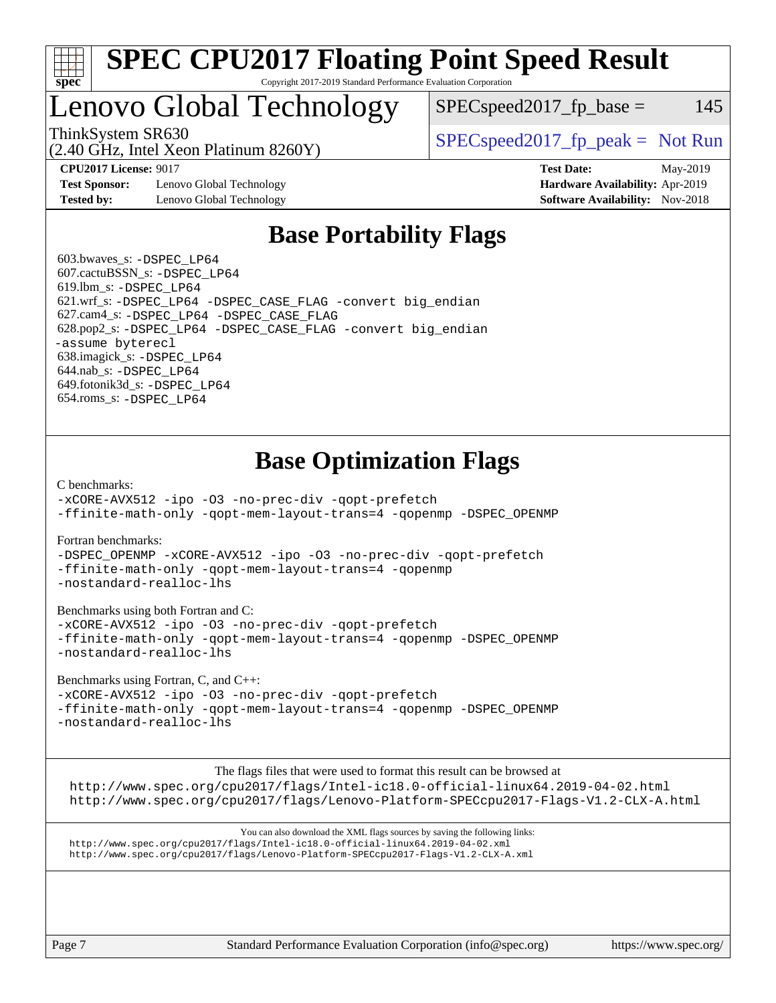

#### **[SPEC CPU2017 Floating Point Speed Result](http://www.spec.org/auto/cpu2017/Docs/result-fields.html#SPECCPU2017FloatingPointSpeedResult)** Copyright 2017-2019 Standard Performance Evaluation Corporation

## Lenovo Global Technology

ThinkSystem SR630<br>  $SPECspeed2017<sub>fp</sub> peak = Not Run  
\n(2.40 CIz. Intel Ycon Plitium 8260Y)$ 

 $SPEC speed2017<sub>fp</sub> base = 145$ 

**[Test Sponsor:](http://www.spec.org/auto/cpu2017/Docs/result-fields.html#TestSponsor)** Lenovo Global Technology **[Hardware Availability:](http://www.spec.org/auto/cpu2017/Docs/result-fields.html#HardwareAvailability)** Apr-2019 **[Tested by:](http://www.spec.org/auto/cpu2017/Docs/result-fields.html#Testedby)** Lenovo Global Technology **[Software Availability:](http://www.spec.org/auto/cpu2017/Docs/result-fields.html#SoftwareAvailability)** Nov-2018

(2.40 GHz, Intel Xeon Platinum 8260Y)

**[CPU2017 License:](http://www.spec.org/auto/cpu2017/Docs/result-fields.html#CPU2017License)** 9017 **[Test Date:](http://www.spec.org/auto/cpu2017/Docs/result-fields.html#TestDate)** May-2019

### **[Base Portability Flags](http://www.spec.org/auto/cpu2017/Docs/result-fields.html#BasePortabilityFlags)**

 603.bwaves\_s: [-DSPEC\\_LP64](http://www.spec.org/cpu2017/results/res2019q3/cpu2017-20190624-15476.flags.html#suite_basePORTABILITY603_bwaves_s_DSPEC_LP64) 607.cactuBSSN\_s: [-DSPEC\\_LP64](http://www.spec.org/cpu2017/results/res2019q3/cpu2017-20190624-15476.flags.html#suite_basePORTABILITY607_cactuBSSN_s_DSPEC_LP64) 619.lbm\_s: [-DSPEC\\_LP64](http://www.spec.org/cpu2017/results/res2019q3/cpu2017-20190624-15476.flags.html#suite_basePORTABILITY619_lbm_s_DSPEC_LP64) 621.wrf\_s: [-DSPEC\\_LP64](http://www.spec.org/cpu2017/results/res2019q3/cpu2017-20190624-15476.flags.html#suite_basePORTABILITY621_wrf_s_DSPEC_LP64) [-DSPEC\\_CASE\\_FLAG](http://www.spec.org/cpu2017/results/res2019q3/cpu2017-20190624-15476.flags.html#b621.wrf_s_baseCPORTABILITY_DSPEC_CASE_FLAG) [-convert big\\_endian](http://www.spec.org/cpu2017/results/res2019q3/cpu2017-20190624-15476.flags.html#user_baseFPORTABILITY621_wrf_s_convert_big_endian_c3194028bc08c63ac5d04de18c48ce6d347e4e562e8892b8bdbdc0214820426deb8554edfa529a3fb25a586e65a3d812c835984020483e7e73212c4d31a38223) 627.cam4\_s: [-DSPEC\\_LP64](http://www.spec.org/cpu2017/results/res2019q3/cpu2017-20190624-15476.flags.html#suite_basePORTABILITY627_cam4_s_DSPEC_LP64) [-DSPEC\\_CASE\\_FLAG](http://www.spec.org/cpu2017/results/res2019q3/cpu2017-20190624-15476.flags.html#b627.cam4_s_baseCPORTABILITY_DSPEC_CASE_FLAG) 628.pop2\_s: [-DSPEC\\_LP64](http://www.spec.org/cpu2017/results/res2019q3/cpu2017-20190624-15476.flags.html#suite_basePORTABILITY628_pop2_s_DSPEC_LP64) [-DSPEC\\_CASE\\_FLAG](http://www.spec.org/cpu2017/results/res2019q3/cpu2017-20190624-15476.flags.html#b628.pop2_s_baseCPORTABILITY_DSPEC_CASE_FLAG) [-convert big\\_endian](http://www.spec.org/cpu2017/results/res2019q3/cpu2017-20190624-15476.flags.html#user_baseFPORTABILITY628_pop2_s_convert_big_endian_c3194028bc08c63ac5d04de18c48ce6d347e4e562e8892b8bdbdc0214820426deb8554edfa529a3fb25a586e65a3d812c835984020483e7e73212c4d31a38223) [-assume byterecl](http://www.spec.org/cpu2017/results/res2019q3/cpu2017-20190624-15476.flags.html#user_baseFPORTABILITY628_pop2_s_assume_byterecl_7e47d18b9513cf18525430bbf0f2177aa9bf368bc7a059c09b2c06a34b53bd3447c950d3f8d6c70e3faf3a05c8557d66a5798b567902e8849adc142926523472) 638.imagick\_s: [-DSPEC\\_LP64](http://www.spec.org/cpu2017/results/res2019q3/cpu2017-20190624-15476.flags.html#suite_basePORTABILITY638_imagick_s_DSPEC_LP64) 644.nab\_s: [-DSPEC\\_LP64](http://www.spec.org/cpu2017/results/res2019q3/cpu2017-20190624-15476.flags.html#suite_basePORTABILITY644_nab_s_DSPEC_LP64) 649.fotonik3d\_s: [-DSPEC\\_LP64](http://www.spec.org/cpu2017/results/res2019q3/cpu2017-20190624-15476.flags.html#suite_basePORTABILITY649_fotonik3d_s_DSPEC_LP64) 654.roms\_s: [-DSPEC\\_LP64](http://www.spec.org/cpu2017/results/res2019q3/cpu2017-20190624-15476.flags.html#suite_basePORTABILITY654_roms_s_DSPEC_LP64)

### **[Base Optimization Flags](http://www.spec.org/auto/cpu2017/Docs/result-fields.html#BaseOptimizationFlags)**

[C benchmarks](http://www.spec.org/auto/cpu2017/Docs/result-fields.html#Cbenchmarks):

[-xCORE-AVX512](http://www.spec.org/cpu2017/results/res2019q3/cpu2017-20190624-15476.flags.html#user_CCbase_f-xCORE-AVX512) [-ipo](http://www.spec.org/cpu2017/results/res2019q3/cpu2017-20190624-15476.flags.html#user_CCbase_f-ipo) [-O3](http://www.spec.org/cpu2017/results/res2019q3/cpu2017-20190624-15476.flags.html#user_CCbase_f-O3) [-no-prec-div](http://www.spec.org/cpu2017/results/res2019q3/cpu2017-20190624-15476.flags.html#user_CCbase_f-no-prec-div) [-qopt-prefetch](http://www.spec.org/cpu2017/results/res2019q3/cpu2017-20190624-15476.flags.html#user_CCbase_f-qopt-prefetch) [-ffinite-math-only](http://www.spec.org/cpu2017/results/res2019q3/cpu2017-20190624-15476.flags.html#user_CCbase_f_finite_math_only_cb91587bd2077682c4b38af759c288ed7c732db004271a9512da14a4f8007909a5f1427ecbf1a0fb78ff2a814402c6114ac565ca162485bbcae155b5e4258871) [-qopt-mem-layout-trans=4](http://www.spec.org/cpu2017/results/res2019q3/cpu2017-20190624-15476.flags.html#user_CCbase_f-qopt-mem-layout-trans_fa39e755916c150a61361b7846f310bcdf6f04e385ef281cadf3647acec3f0ae266d1a1d22d972a7087a248fd4e6ca390a3634700869573d231a252c784941a8) [-qopenmp](http://www.spec.org/cpu2017/results/res2019q3/cpu2017-20190624-15476.flags.html#user_CCbase_qopenmp_16be0c44f24f464004c6784a7acb94aca937f053568ce72f94b139a11c7c168634a55f6653758ddd83bcf7b8463e8028bb0b48b77bcddc6b78d5d95bb1df2967) [-DSPEC\\_OPENMP](http://www.spec.org/cpu2017/results/res2019q3/cpu2017-20190624-15476.flags.html#suite_CCbase_DSPEC_OPENMP)

[Fortran benchmarks](http://www.spec.org/auto/cpu2017/Docs/result-fields.html#Fortranbenchmarks):

[-DSPEC\\_OPENMP](http://www.spec.org/cpu2017/results/res2019q3/cpu2017-20190624-15476.flags.html#suite_FCbase_DSPEC_OPENMP) [-xCORE-AVX512](http://www.spec.org/cpu2017/results/res2019q3/cpu2017-20190624-15476.flags.html#user_FCbase_f-xCORE-AVX512) [-ipo](http://www.spec.org/cpu2017/results/res2019q3/cpu2017-20190624-15476.flags.html#user_FCbase_f-ipo) [-O3](http://www.spec.org/cpu2017/results/res2019q3/cpu2017-20190624-15476.flags.html#user_FCbase_f-O3) [-no-prec-div](http://www.spec.org/cpu2017/results/res2019q3/cpu2017-20190624-15476.flags.html#user_FCbase_f-no-prec-div) [-qopt-prefetch](http://www.spec.org/cpu2017/results/res2019q3/cpu2017-20190624-15476.flags.html#user_FCbase_f-qopt-prefetch) [-ffinite-math-only](http://www.spec.org/cpu2017/results/res2019q3/cpu2017-20190624-15476.flags.html#user_FCbase_f_finite_math_only_cb91587bd2077682c4b38af759c288ed7c732db004271a9512da14a4f8007909a5f1427ecbf1a0fb78ff2a814402c6114ac565ca162485bbcae155b5e4258871) [-qopt-mem-layout-trans=4](http://www.spec.org/cpu2017/results/res2019q3/cpu2017-20190624-15476.flags.html#user_FCbase_f-qopt-mem-layout-trans_fa39e755916c150a61361b7846f310bcdf6f04e385ef281cadf3647acec3f0ae266d1a1d22d972a7087a248fd4e6ca390a3634700869573d231a252c784941a8) [-qopenmp](http://www.spec.org/cpu2017/results/res2019q3/cpu2017-20190624-15476.flags.html#user_FCbase_qopenmp_16be0c44f24f464004c6784a7acb94aca937f053568ce72f94b139a11c7c168634a55f6653758ddd83bcf7b8463e8028bb0b48b77bcddc6b78d5d95bb1df2967) [-nostandard-realloc-lhs](http://www.spec.org/cpu2017/results/res2019q3/cpu2017-20190624-15476.flags.html#user_FCbase_f_2003_std_realloc_82b4557e90729c0f113870c07e44d33d6f5a304b4f63d4c15d2d0f1fab99f5daaed73bdb9275d9ae411527f28b936061aa8b9c8f2d63842963b95c9dd6426b8a)

[Benchmarks using both Fortran and C](http://www.spec.org/auto/cpu2017/Docs/result-fields.html#BenchmarksusingbothFortranandC):

[-xCORE-AVX512](http://www.spec.org/cpu2017/results/res2019q3/cpu2017-20190624-15476.flags.html#user_CC_FCbase_f-xCORE-AVX512) [-ipo](http://www.spec.org/cpu2017/results/res2019q3/cpu2017-20190624-15476.flags.html#user_CC_FCbase_f-ipo) [-O3](http://www.spec.org/cpu2017/results/res2019q3/cpu2017-20190624-15476.flags.html#user_CC_FCbase_f-O3) [-no-prec-div](http://www.spec.org/cpu2017/results/res2019q3/cpu2017-20190624-15476.flags.html#user_CC_FCbase_f-no-prec-div) [-qopt-prefetch](http://www.spec.org/cpu2017/results/res2019q3/cpu2017-20190624-15476.flags.html#user_CC_FCbase_f-qopt-prefetch) [-ffinite-math-only](http://www.spec.org/cpu2017/results/res2019q3/cpu2017-20190624-15476.flags.html#user_CC_FCbase_f_finite_math_only_cb91587bd2077682c4b38af759c288ed7c732db004271a9512da14a4f8007909a5f1427ecbf1a0fb78ff2a814402c6114ac565ca162485bbcae155b5e4258871) [-qopt-mem-layout-trans=4](http://www.spec.org/cpu2017/results/res2019q3/cpu2017-20190624-15476.flags.html#user_CC_FCbase_f-qopt-mem-layout-trans_fa39e755916c150a61361b7846f310bcdf6f04e385ef281cadf3647acec3f0ae266d1a1d22d972a7087a248fd4e6ca390a3634700869573d231a252c784941a8) [-qopenmp](http://www.spec.org/cpu2017/results/res2019q3/cpu2017-20190624-15476.flags.html#user_CC_FCbase_qopenmp_16be0c44f24f464004c6784a7acb94aca937f053568ce72f94b139a11c7c168634a55f6653758ddd83bcf7b8463e8028bb0b48b77bcddc6b78d5d95bb1df2967) [-DSPEC\\_OPENMP](http://www.spec.org/cpu2017/results/res2019q3/cpu2017-20190624-15476.flags.html#suite_CC_FCbase_DSPEC_OPENMP) [-nostandard-realloc-lhs](http://www.spec.org/cpu2017/results/res2019q3/cpu2017-20190624-15476.flags.html#user_CC_FCbase_f_2003_std_realloc_82b4557e90729c0f113870c07e44d33d6f5a304b4f63d4c15d2d0f1fab99f5daaed73bdb9275d9ae411527f28b936061aa8b9c8f2d63842963b95c9dd6426b8a)

[Benchmarks using Fortran, C, and C++:](http://www.spec.org/auto/cpu2017/Docs/result-fields.html#BenchmarksusingFortranCandCXX)

[-xCORE-AVX512](http://www.spec.org/cpu2017/results/res2019q3/cpu2017-20190624-15476.flags.html#user_CC_CXX_FCbase_f-xCORE-AVX512) [-ipo](http://www.spec.org/cpu2017/results/res2019q3/cpu2017-20190624-15476.flags.html#user_CC_CXX_FCbase_f-ipo) [-O3](http://www.spec.org/cpu2017/results/res2019q3/cpu2017-20190624-15476.flags.html#user_CC_CXX_FCbase_f-O3) [-no-prec-div](http://www.spec.org/cpu2017/results/res2019q3/cpu2017-20190624-15476.flags.html#user_CC_CXX_FCbase_f-no-prec-div) [-qopt-prefetch](http://www.spec.org/cpu2017/results/res2019q3/cpu2017-20190624-15476.flags.html#user_CC_CXX_FCbase_f-qopt-prefetch) [-ffinite-math-only](http://www.spec.org/cpu2017/results/res2019q3/cpu2017-20190624-15476.flags.html#user_CC_CXX_FCbase_f_finite_math_only_cb91587bd2077682c4b38af759c288ed7c732db004271a9512da14a4f8007909a5f1427ecbf1a0fb78ff2a814402c6114ac565ca162485bbcae155b5e4258871) [-qopt-mem-layout-trans=4](http://www.spec.org/cpu2017/results/res2019q3/cpu2017-20190624-15476.flags.html#user_CC_CXX_FCbase_f-qopt-mem-layout-trans_fa39e755916c150a61361b7846f310bcdf6f04e385ef281cadf3647acec3f0ae266d1a1d22d972a7087a248fd4e6ca390a3634700869573d231a252c784941a8) [-qopenmp](http://www.spec.org/cpu2017/results/res2019q3/cpu2017-20190624-15476.flags.html#user_CC_CXX_FCbase_qopenmp_16be0c44f24f464004c6784a7acb94aca937f053568ce72f94b139a11c7c168634a55f6653758ddd83bcf7b8463e8028bb0b48b77bcddc6b78d5d95bb1df2967) [-DSPEC\\_OPENMP](http://www.spec.org/cpu2017/results/res2019q3/cpu2017-20190624-15476.flags.html#suite_CC_CXX_FCbase_DSPEC_OPENMP) [-nostandard-realloc-lhs](http://www.spec.org/cpu2017/results/res2019q3/cpu2017-20190624-15476.flags.html#user_CC_CXX_FCbase_f_2003_std_realloc_82b4557e90729c0f113870c07e44d33d6f5a304b4f63d4c15d2d0f1fab99f5daaed73bdb9275d9ae411527f28b936061aa8b9c8f2d63842963b95c9dd6426b8a)

The flags files that were used to format this result can be browsed at

<http://www.spec.org/cpu2017/flags/Intel-ic18.0-official-linux64.2019-04-02.html> <http://www.spec.org/cpu2017/flags/Lenovo-Platform-SPECcpu2017-Flags-V1.2-CLX-A.html>

You can also download the XML flags sources by saving the following links: <http://www.spec.org/cpu2017/flags/Intel-ic18.0-official-linux64.2019-04-02.xml> <http://www.spec.org/cpu2017/flags/Lenovo-Platform-SPECcpu2017-Flags-V1.2-CLX-A.xml>